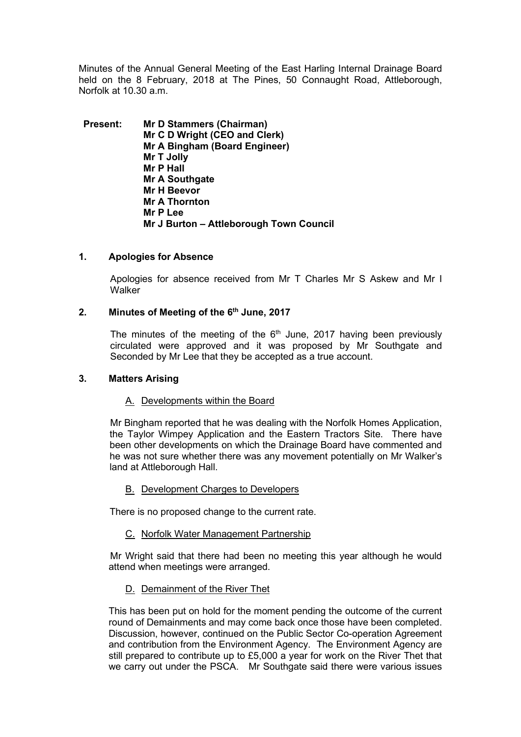Minutes of the Annual General Meeting of the East Harling Internal Drainage Board held on the 8 February, 2018 at The Pines, 50 Connaught Road, Attleborough, Norfolk at 10.30 a.m.

**Present: Mr D Stammers (Chairman) Mr C D Wright (CEO and Clerk) Mr A Bingham (Board Engineer) Mr T Jolly Mr P Hall Mr A Southgate Mr H Beevor Mr A Thornton Mr P Lee Mr J Burton – Attleborough Town Council**

### **1. Apologies for Absence**

Apologies for absence received from Mr T Charles Mr S Askew and Mr I **Walker** 

### **2. Minutes of Meeting of the 6th June, 2017**

The minutes of the meeting of the  $6<sup>th</sup>$  June, 2017 having been previously circulated were approved and it was proposed by Mr Southgate and Seconded by Mr Lee that they be accepted as a true account.

#### **3. Matters Arising**

#### A. Developments within the Board

Mr Bingham reported that he was dealing with the Norfolk Homes Application, the Taylor Wimpey Application and the Eastern Tractors Site. There have been other developments on which the Drainage Board have commented and he was not sure whether there was any movement potentially on Mr Walker's land at Attleborough Hall.

#### B. Development Charges to Developers

There is no proposed change to the current rate.

#### C. Norfolk Water Management Partnership

Mr Wright said that there had been no meeting this year although he would attend when meetings were arranged.

#### D. Demainment of the River Thet

This has been put on hold for the moment pending the outcome of the current round of Demainments and may come back once those have been completed. Discussion, however, continued on the Public Sector Co-operation Agreement and contribution from the Environment Agency. The Environment Agency are still prepared to contribute up to £5,000 a year for work on the River Thet that we carry out under the PSCA. Mr Southgate said there were various issues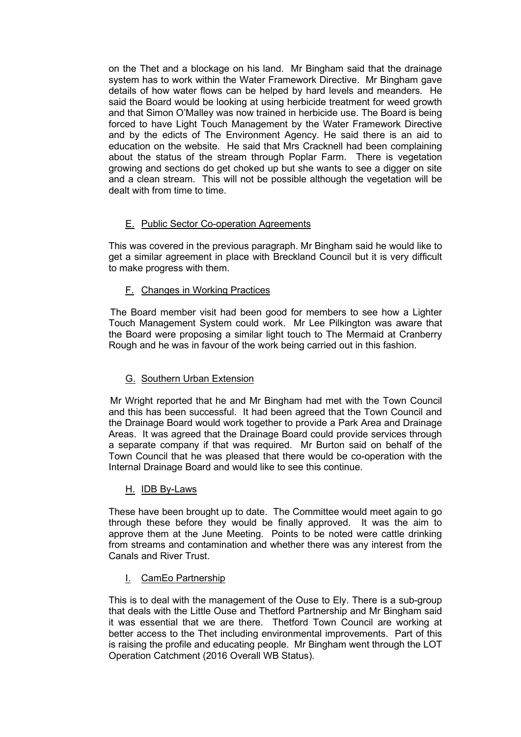on the Thet and a blockage on his land. Mr Bingham said that the drainage system has to work within the Water Framework Directive. Mr Bingham gave details of how water flows can be helped by hard levels and meanders. He said the Board would be looking at using herbicide treatment for weed growth and that Simon O'Malley was now trained in herbicide use. The Board is being forced to have Light Touch Management by the Water Framework Directive and by the edicts of The Environment Agency. He said there is an aid to education on the website. He said that Mrs Cracknell had been complaining about the status of the stream through Poplar Farm. There is vegetation growing and sections do get choked up but she wants to see a digger on site and a clean stream. This will not be possible although the vegetation will be dealt with from time to time.

# E. Public Sector Co-operation Agreements

This was covered in the previous paragraph. Mr Bingham said he would like to get a similar agreement in place with Breckland Council but it is very difficult to make progress with them.

# F. Changes in Working Practices

The Board member visit had been good for members to see how a Lighter Touch Management System could work. Mr Lee Pilkington was aware that the Board were proposing a similar light touch to The Mermaid at Cranberry Rough and he was in favour of the work being carried out in this fashion.

# G. Southern Urban Extension

Mr Wright reported that he and Mr Bingham had met with the Town Council and this has been successful. It had been agreed that the Town Council and the Drainage Board would work together to provide a Park Area and Drainage Areas. It was agreed that the Drainage Board could provide services through a separate company if that was required. Mr Burton said on behalf of the Town Council that he was pleased that there would be co-operation with the Internal Drainage Board and would like to see this continue.

# H. IDB By-Laws

These have been brought up to date. The Committee would meet again to go through these before they would be finally approved. It was the aim to approve them at the June Meeting. Points to be noted were cattle drinking from streams and contamination and whether there was any interest from the Canals and River Trust.

# I. CamEo Partnership

This is to deal with the management of the Ouse to Ely. There is a sub-group that deals with the Little Ouse and Thetford Partnership and Mr Bingham said it was essential that we are there. Thetford Town Council are working at better access to the Thet including environmental improvements. Part of this is raising the profile and educating people. Mr Bingham went through the LOT Operation Catchment (2016 Overall WB Status).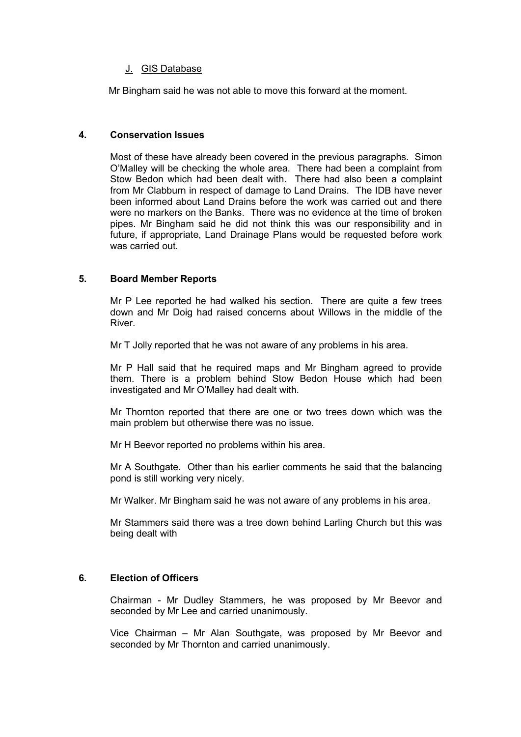# J. GIS Database

Mr Bingham said he was not able to move this forward at the moment.

### **4. Conservation Issues**

Most of these have already been covered in the previous paragraphs. Simon O'Malley will be checking the whole area. There had been a complaint from Stow Bedon which had been dealt with. There had also been a complaint from Mr Clabburn in respect of damage to Land Drains. The IDB have never been informed about Land Drains before the work was carried out and there were no markers on the Banks. There was no evidence at the time of broken pipes. Mr Bingham said he did not think this was our responsibility and in future, if appropriate, Land Drainage Plans would be requested before work was carried out.

# **5. Board Member Reports**

Mr P Lee reported he had walked his section. There are quite a few trees down and Mr Doig had raised concerns about Willows in the middle of the River.

Mr T Jolly reported that he was not aware of any problems in his area.

Mr P Hall said that he required maps and Mr Bingham agreed to provide them. There is a problem behind Stow Bedon House which had been investigated and Mr O'Malley had dealt with.

Mr Thornton reported that there are one or two trees down which was the main problem but otherwise there was no issue.

Mr H Beevor reported no problems within his area.

Mr A Southgate. Other than his earlier comments he said that the balancing pond is still working very nicely.

Mr Walker. Mr Bingham said he was not aware of any problems in his area.

Mr Stammers said there was a tree down behind Larling Church but this was being dealt with

# **6. Election of Officers**

Chairman - Mr Dudley Stammers, he was proposed by Mr Beevor and seconded by Mr Lee and carried unanimously.

Vice Chairman – Mr Alan Southgate, was proposed by Mr Beevor and seconded by Mr Thornton and carried unanimously.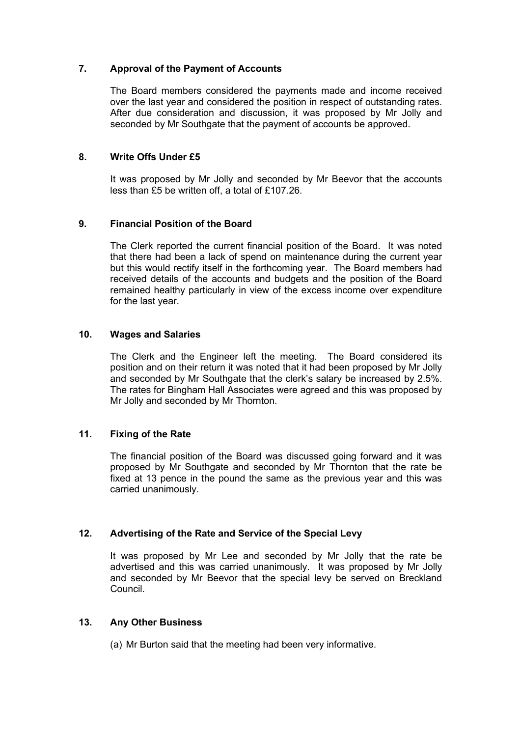### **7. Approval of the Payment of Accounts**

The Board members considered the payments made and income received over the last year and considered the position in respect of outstanding rates. After due consideration and discussion, it was proposed by Mr Jolly and seconded by Mr Southgate that the payment of accounts be approved.

### **8. Write Offs Under £5**

It was proposed by Mr Jolly and seconded by Mr Beevor that the accounts less than £5 be written off, a total of £107.26.

# **9. Financial Position of the Board**

The Clerk reported the current financial position of the Board. It was noted that there had been a lack of spend on maintenance during the current year but this would rectify itself in the forthcoming year. The Board members had received details of the accounts and budgets and the position of the Board remained healthy particularly in view of the excess income over expenditure for the last year.

### **10. Wages and Salaries**

The Clerk and the Engineer left the meeting. The Board considered its position and on their return it was noted that it had been proposed by Mr Jolly and seconded by Mr Southgate that the clerk's salary be increased by 2.5%. The rates for Bingham Hall Associates were agreed and this was proposed by Mr Jolly and seconded by Mr Thornton.

# **11. Fixing of the Rate**

The financial position of the Board was discussed going forward and it was proposed by Mr Southgate and seconded by Mr Thornton that the rate be fixed at 13 pence in the pound the same as the previous year and this was carried unanimously.

#### **12. Advertising of the Rate and Service of the Special Levy**

It was proposed by Mr Lee and seconded by Mr Jolly that the rate be advertised and this was carried unanimously. It was proposed by Mr Jolly and seconded by Mr Beevor that the special levy be served on Breckland Council.

#### **13. Any Other Business**

(a) Mr Burton said that the meeting had been very informative.